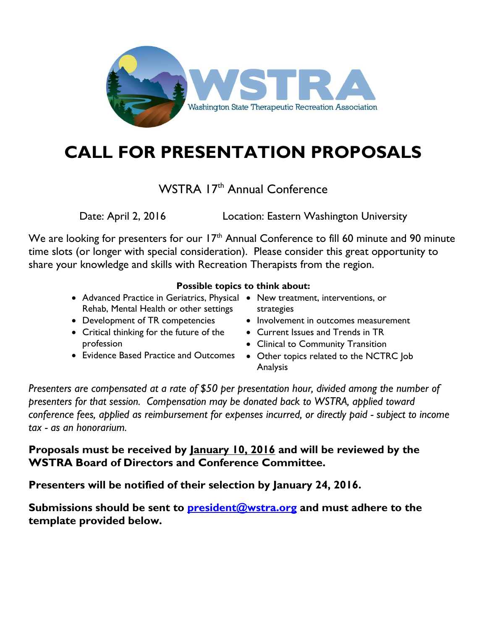

# **CALL FOR PRESENTATION PROPOSALS**

### WSTRA 17<sup>th</sup> Annual Conference

Date: April 2, 2016 Location: Eastern Washington University

We are looking for presenters for our 17<sup>th</sup> Annual Conference to fill 60 minute and 90 minute time slots (or longer with special consideration). Please consider this great opportunity to share your knowledge and skills with Recreation Therapists from the region.

#### **Possible topics to think about:**

- Advanced Practice in Geriatrics, Physical New treatment, interventions, or Rehab, Mental Health or other settings
- Development of TR competencies
- Critical thinking for the future of the profession
- Evidence Based Practice and Outcomes
- strategies
- Involvement in outcomes measurement
- Current Issues and Trends in TR
- Clinical to Community Transition
- Other topics related to the NCTRC Job Analysis

*Presenters are compensated at a rate of \$50 per presentation hour, divided among the number of presenters for that session. Compensation may be donated back to WSTRA, applied toward conference fees, applied as reimbursement for expenses incurred, or directly paid - subject to income tax - as an honorarium.*

#### **Proposals must be received by January 10, 2016 and will be reviewed by the WSTRA Board of Directors and Conference Committee.**

**Presenters will be notified of their selection by January 24, 2016.** 

**Submissions should be sent to [president@wstra.org](mailto:president@wstra.org) and must adhere to the template provided below.**